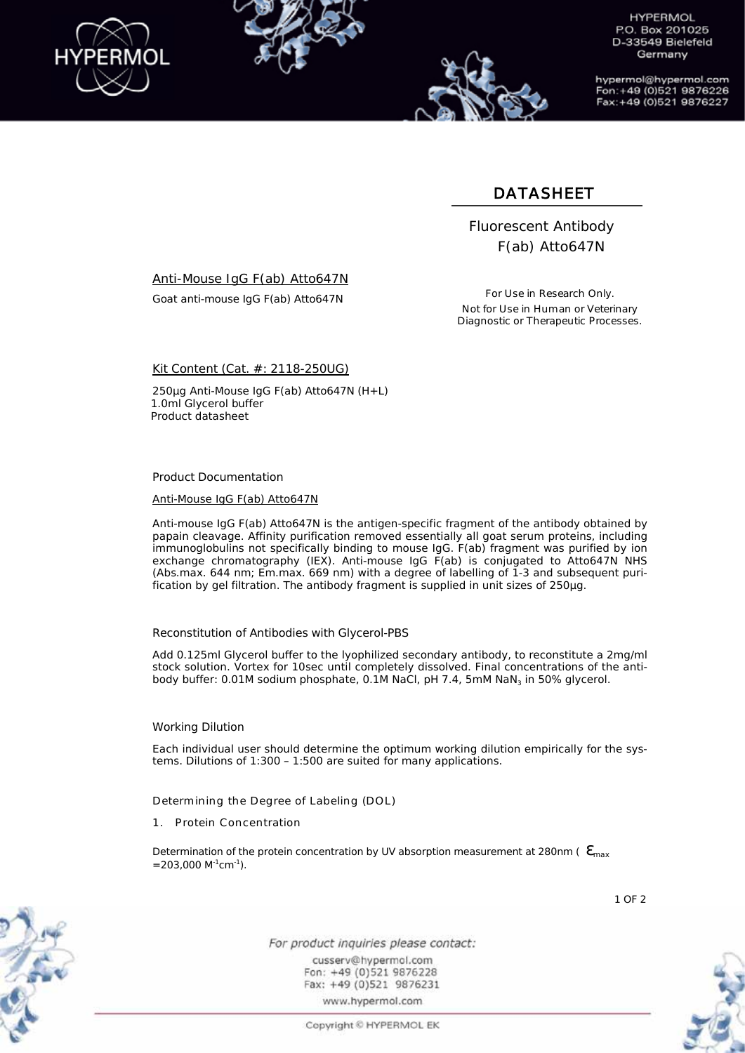

**HYPERMOL** P.O. Box 201025 D-33549 Bielefeld Germany

hypermol@hypermol.com Fon: +49 (0)521 9876226 Fax: +49 (0)521 9876227

## DATASHEET

 Fluorescent Antibody F(ab) Atto647N

Anti-Mouse IgG F(ab) Atto647N

Goat anti-mouse IgG F(ab) Atto647N

For Use in Research Only. Not for Use in Human or Veterinary Diagnostic or Therapeutic Processes.

Kit Content (Cat. #: 2118-250UG)

250µg Anti-Mouse IgG F(ab) Atto647N (H+L) 1.0ml Glycerol buffer Product datasheet

Product Documentation

Anti-Mouse IgG F(ab) Atto647N

Anti-mouse IgG F(ab) Atto647N is the antigen-specific fragment of the antibody obtained by papain cleavage. Affinity purification removed essentially all goat serum proteins, including immunoglobulins not specifically binding to mouse IgG. F(ab) fragment was purified by ion exchange chromatography (IEX). Anti-mouse IgG F(ab) is conjugated to Atto647N NHS (Abs.max. 644 nm; Em.max. 669 nm) with a degree of labelling of 1-3 and subsequent purification by gel filtration. The antibody fragment is supplied in unit sizes of 250µg.

Reconstitution of Antibodies with Glycerol-PBS

Add 0.125ml Glycerol buffer to the lyophilized secondary antibody, to reconstitute a 2mg/ml stock solution. Vortex for 10sec until completely dissolved. Final concentrations of the antibody buffer: 0.01M sodium phosphate, 0.1M NaCl, pH 7.4, 5mM NaN<sub>3</sub> in 50% glycerol.

### Working Dilution

Each individual user should determine the optimum working dilution empirically for the systems. Dilutions of 1:300 – 1:500 are suited for many applications.

Determining the Degree of Labeling (DOL)

1. Protein Concentration

Determination of the protein concentration by UV absorption measurement at 280nm ( $\theta_{\text{max}}$ )  $=203,000$  M<sup>-1</sup>cm<sup>-1</sup>).





For product inquiries please contact: cusserv@hypermol.com Fon: +49 (0)521 9876228 Fax: +49 (0)521 9876231 www.hypermol.com

Copyright © HYPERMOL EK